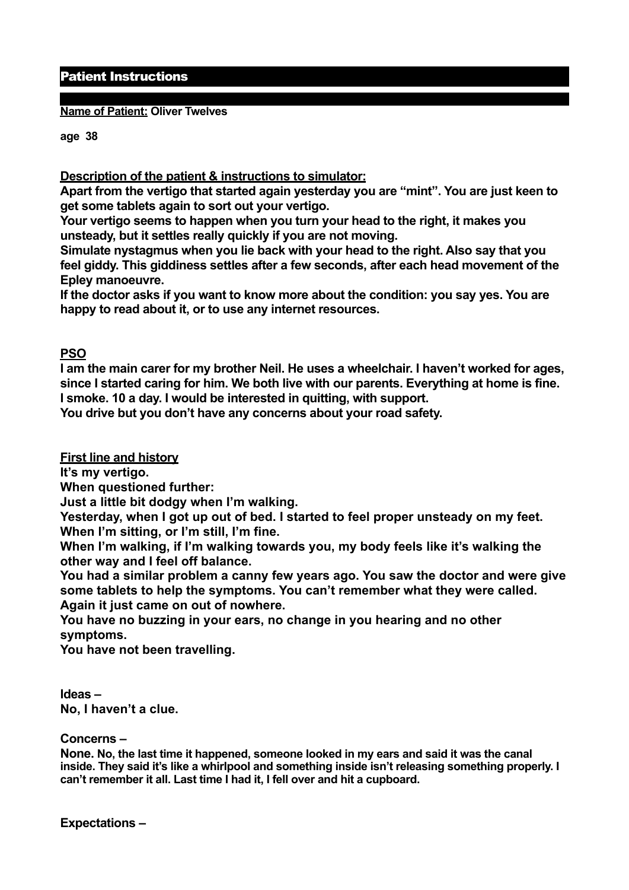## Patient Instructions

**Name of Patient: Oliver Twelves** 

**age 38** 

**Description of the patient & instructions to simulator:** 

**Apart from the vertigo that started again yesterday you are "mint". You are just keen to get some tablets again to sort out your vertigo.** 

**Your vertigo seems to happen when you turn your head to the right, it makes you unsteady, but it settles really quickly if you are not moving.** 

**Simulate nystagmus when you lie back with your head to the right. Also say that you feel giddy. This giddiness settles after a few seconds, after each head movement of the Epley manoeuvre.** 

**If the doctor asks if you want to know more about the condition: you say yes. You are happy to read about it, or to use any internet resources.**

## **PSO**

**I am the main carer for my brother Neil. He uses a wheelchair. I haven't worked for ages, since I started caring for him. We both live with our parents. Everything at home is fine. I smoke. 10 a day. I would be interested in quitting, with support.** 

**You drive but you don't have any concerns about your road safety.**

**First line and history** 

**It's my vertigo.** 

**When questioned further:** 

**Just a little bit dodgy when I'm walking.** 

**Yesterday, when I got up out of bed. I started to feel proper unsteady on my feet. When I'm sitting, or I'm still, I'm fine.** 

**When I'm walking, if I'm walking towards you, my body feels like it's walking the other way and I feel off balance.** 

**You had a similar problem a canny few years ago. You saw the doctor and were give some tablets to help the symptoms. You can't remember what they were called. Again it just came on out of nowhere.** 

**You have no buzzing in your ears, no change in you hearing and no other symptoms.** 

**You have not been travelling.** 

**Ideas – No, I haven't a clue.** 

## **Concerns –**

**None. No, the last time it happened, someone looked in my ears and said it was the canal inside. They said it's like a whirlpool and something inside isn't releasing something properly. I can't remember it all. Last time I had it, I fell over and hit a cupboard.**